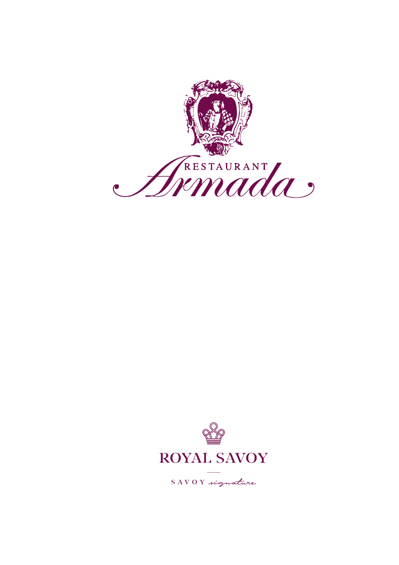



SAVOY signature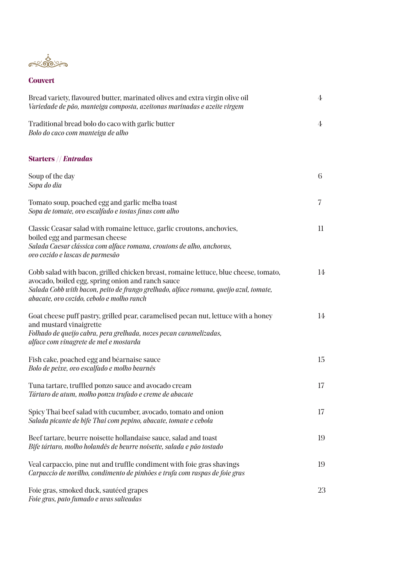<u>ہ پڑھی ہے</u><br>میرہ پھو

## **Couvert**

| Bread variety, flavoured butter, marinated olives and extra virgin olive oil<br>Variedade de pão, manteiga composta, azeitonas marinadas e azeite virgem                                                                                                                        | $\overline{4}$ |
|---------------------------------------------------------------------------------------------------------------------------------------------------------------------------------------------------------------------------------------------------------------------------------|----------------|
| Traditional bread bolo do caco with garlic butter<br>Bolo do caco com manteiga de alho                                                                                                                                                                                          | $\overline{4}$ |
| <b>Starters // Entradas</b>                                                                                                                                                                                                                                                     |                |
| Soup of the day<br>Sopa do dia                                                                                                                                                                                                                                                  | 6              |
| Tomato soup, poached egg and garlic melba toast<br>Sopa de tomate, ovo escalfado e tostas finas com alho                                                                                                                                                                        | 7              |
| Classic Ceasar salad with romaine lettuce, garlic croutons, anchovies,<br>boiled egg and parmesan cheese<br>Salada Caesar clássica com alface romana, croutons de alho, anchovas,<br>ovo cozido e lascas de parmesão                                                            | 11             |
| Cobb salad with bacon, grilled chicken breast, romaine lettuce, blue cheese, tomato,<br>avocado, boiled egg, spring onion and ranch sauce<br>Salada Cobb with bacon, peito de frango grelhado, alface romana, queijo azul, tomate,<br>abacate, ovo cozido, cebolo e molho ranch | 14             |
| Goat cheese puff pastry, grilled pear, caramelised pecan nut, lettuce with a honey<br>and mustard vinaigrette<br>Folhado de queijo cabra, pera grelhada, nozes pecan caramelizadas,<br>alface com vinagrete de mel e mostarda                                                   | 14             |
| Fish cake, poached egg and béarnaise sauce<br>Bolo de peixe, ovo escalfado e molho bearnês                                                                                                                                                                                      | 15             |
| Tuna tartare, truffled ponzo sauce and avocado cream<br>Tártaro de atum, molho ponzu trufado e creme de abacate                                                                                                                                                                 | 17             |
| Spicy Thai beef salad with cucumber, avocado, tomato and onion<br>Salada picante de bife Thai com pepino, abacate, tomate e cebola                                                                                                                                              | 17             |
| Beef tartare, beurre noisette hollandaise sauce, salad and toast<br>Bife tártaro, molho holandês de beurre noisette, salada e pão tostado                                                                                                                                       | 19             |
| Veal carpaccio, pine nut and truffle condiment with foie gras shavings<br>Carpaccio de novilho, condimento de pinhões e trufa com raspas de foie gras                                                                                                                           | 19             |
| Foie gras, smoked duck, sautéed grapes<br>Foie gras, pato fumado e uvas salteadas                                                                                                                                                                                               | 23             |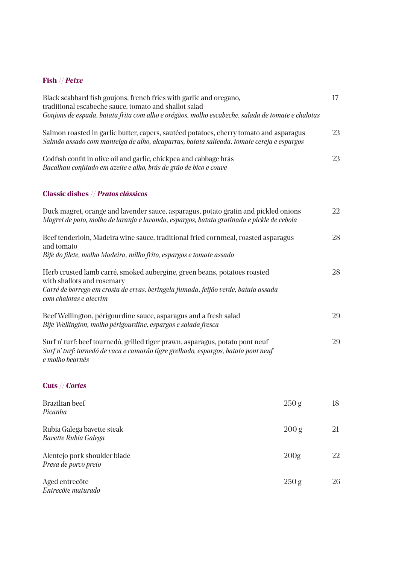# **Fish** // *Peixe*

| Salmon roasted in garlic butter, capers, sautéed potatoes, cherry tomato and asparagus<br>Salmão assado com manteiga de alho, alcaparras, batata salteada, tomate cereja e espargos                                    | 23 |
|------------------------------------------------------------------------------------------------------------------------------------------------------------------------------------------------------------------------|----|
|                                                                                                                                                                                                                        |    |
| Codfish confit in olive oil and garlic, chickpea and cabbage brás<br>Bacalhau confitado em azeite e alho, brás de grão de bico e couve                                                                                 | 23 |
| <b>Classic dishes // Pratos clássicos</b>                                                                                                                                                                              |    |
| Duck magret, orange and lavender sauce, asparagus, potato gratin and pickled onions<br>Magret de pato, molho de laranja e lavanda, espargos, batata gratinada e pickle de cebola                                       | 22 |
| Beef tenderloin, Madeira wine sauce, traditional fried cornmeal, roasted asparagus<br>and tomato<br>Bife do filete, molho Madeira, milho frito, espargos e tomate assado                                               | 28 |
| Herb crusted lamb carré, smoked aubergine, green beans, potatoes roasted<br>with shallots and rosemary<br>Carré de borrego em crosta de ervas, beringela fumada, feijão verde, batata assada<br>com chalotas e alecrim | 28 |
| Beef Wellington, périgourdine sauce, asparagus and a fresh salad<br>Bife Wellington, molho périgourdine, espargos e salada fresca                                                                                      | 29 |
| Surf n' turf: beef tournedó, grilled tiger prawn, asparagus, potato pont neuf<br>Surf n' turf: tornedó de vaca e camarão tigre grelhado, espargos, batata pont neuf<br>e molho bearnês                                 | 29 |
| Cuts // Cortes                                                                                                                                                                                                         |    |
| <b>Brazilian</b> beef<br>250 g<br>Picanha                                                                                                                                                                              | 18 |
| Rubia Galega bavette steak<br>200 <sub>g</sub><br><b>Bavette Rubia Galega</b>                                                                                                                                          | 21 |
| Alentejo pork shoulder blade<br>200 <sub>g</sub><br>Presa de porco preto                                                                                                                                               | 22 |

Aged entrecôte 250 g  $250$  g  $26$ *Entrecôte maturado*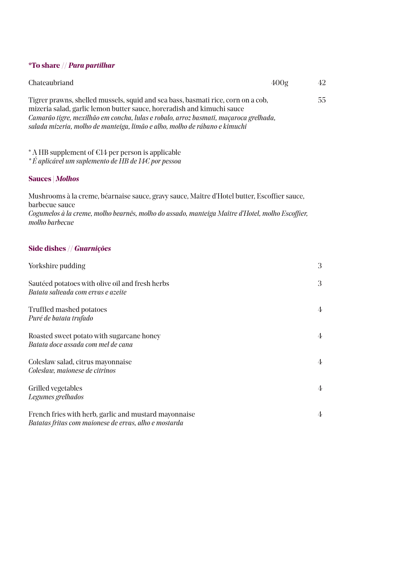### **\*To share //** *Para partilhar*

| Chateaubriand                                                                                                                                                                                                                                                                                                                    | 400g | 42 |
|----------------------------------------------------------------------------------------------------------------------------------------------------------------------------------------------------------------------------------------------------------------------------------------------------------------------------------|------|----|
| Tigrer prawns, shelled mussels, squid and sea bass, basmati rice, corn on a cob,<br>mizeria salad, garlic lemon butter sauce, horeradish and kimuchi sauce<br>Camarão tigre, mexilhão em concha, lulas e robalo, arroz basmati, maçaroca grelhada,<br>salada mizeria, molho de manteiga, limão e alho, molho de rábano e kimuchi |      | 55 |

\* A HB supplement of €14 per person is applicable

*\* É aplicável um suplemento de HB de 14€ por pessoa* 

### **Sauces |** *Molhos*

Mushrooms à la creme, béarnaise sauce, gravy sauce, Maître d'Hotel butter, Escoffier sauce, barbecue sauce *Cogumelos à la creme, molho bearnês, molho do assado, manteiga Maître d'Hotel, molho Escoffier, molho barbecue*

#### **Side dishes //** *Guarnições*

| Yorkshire pudding                                                                                              | 3 |
|----------------------------------------------------------------------------------------------------------------|---|
| Sautéed potatoes with olive oil and fresh herbs<br>Batata salteada com ervas e azeite                          | 3 |
| <b>Truffled mashed potatoes</b><br>Puré de batata trufado                                                      | 4 |
| Roasted sweet potato with sugarcane honey<br>Batata doce assada com mel de cana                                | 4 |
| Coleslaw salad, citrus mayonnaise<br>Coleslaw, maionese de citrinos                                            | 4 |
| Grilled vegetables<br>Legumes grelhados                                                                        | 4 |
| French fries with herb, garlic and mustard mayonnaise<br>Batatas fritas com maionese de ervas, alho e mostarda | 4 |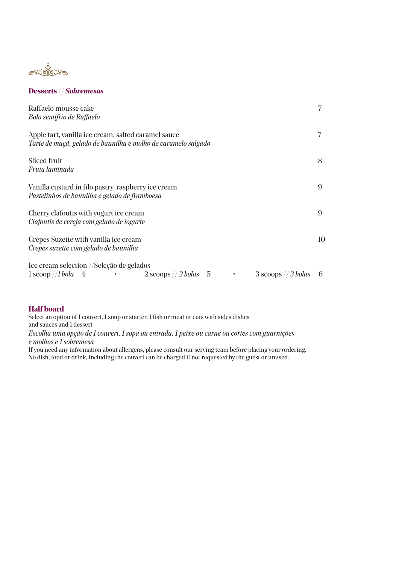

#### **Desserts //** *Sobremesas*

| Raffaelo mousse cake<br>Bolo semifrio de Raffaelo                                                                                                                                         | 7   |
|-------------------------------------------------------------------------------------------------------------------------------------------------------------------------------------------|-----|
| Apple tart, vanilla ice cream, salted caramel sauce<br>Tarte de maçã, gelado de baunilha e molho de caramelo salgado                                                                      | 7   |
| Sliced fruit<br>Fruta laminada                                                                                                                                                            | 8   |
| Vanilla custard in filo pastry, raspberry ice cream<br>Pastelinhos de baunilha e gelado de framboesa                                                                                      | 9   |
| Cherry clafout is with yogurt ice cream<br>Clafoutis de cereja com gelado de iogurte                                                                                                      | 9   |
| Crêpes Suzette with vanilla ice cream<br>Crepes suzette com gelado de baunilha                                                                                                            | 10  |
| Ice cream selection //Seleção de gelados<br>$1\,\text{scoop}/1\,\text{bola}$ 4<br>$2$ scoops // $2$ bolas 5<br>$3$ scoops $// 3$ bolas<br>$\bullet$ . The second state $\alpha$<br>$\sim$ | - 6 |

#### **Half board**

Select an option of 1 couvert, 1 soup or starter, 1 fish or meat or cuts with sides dishes and sauces and 1 dessert *Escolha uma opção de 1 couvert, 1 sopa ou entrada, 1 peixe ou carne ou cortes com guarnições e molhos e 1 sobremesa*

If you need any information about allergens, please consult our serving team before placing your ordering. No dish, food or drink, including the couvert can be charged if not requested by the guest or unused.